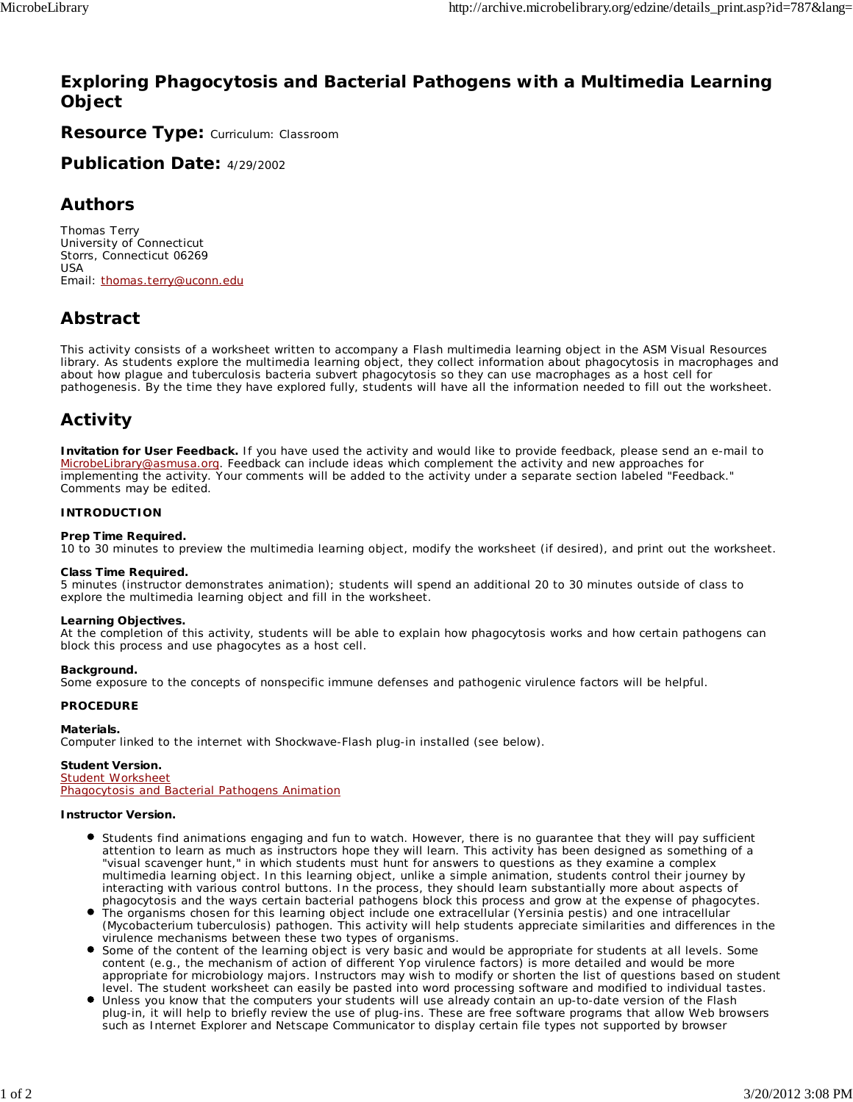### **Exploring Phagocytosis and Bacterial Pathogens with a Multimedia Learning Object**

**Resource Type:** Curriculum: Classroom

**Publication Date:** 4/29/2002

### **Authors**

*Thomas Terry* University of Connecticut Storrs, Connecticut 06269 USA Email: thomas.terry@uconn.edu

## **Abstract**

This activity consists of a worksheet written to accompany a Flash multimedia learning object in the ASM Visual Resources library. As students explore the multimedia learning object, they collect information about phagocytosis in macrophages and about how plague and tuberculosis bacteria subvert phagocytosis so they can use macrophages as a host cell for pathogenesis. By the time they have explored fully, students will have all the information needed to fill out the worksheet.

## **Activity**

**Invitation for User Feedback.** If you have used the activity and would like to provide feedback, please send an e-mail to MicrobeLibrary@asmusa.org. Feedback can include ideas which complement the activity and new approaches for implementing the activity. Your comments will be added to the activity under a separate section labeled "Feedback." Comments may be edited.

#### **INTRODUCTION**

#### **Prep Time Required.**

10 to 30 minutes to preview the multimedia learning object, modify the worksheet (if desired), and print out the worksheet.

#### **Class Time Required.**

5 minutes (instructor demonstrates animation); students will spend an additional 20 to 30 minutes outside of class to explore the multimedia learning object and fill in the worksheet.

#### **Learning Objectives.**

At the completion of this activity, students will be able to explain how phagocytosis works and how certain pathogens can block this process and use phagocytes as a host cell.

#### **Background.**

Some exposure to the concepts of nonspecific immune defenses and pathogenic virulence factors will be helpful.

#### **PROCEDURE**

#### **Materials.**

Computer linked to the internet with Shockwave-Flash plug-in installed (see below).

#### **Student Version.**

Student Worksheet Phagocytosis and Bacterial Pathogens Animation

#### **Instructor Version.**

- Students find animations engaging and fun to watch. However, there is no guarantee that they will pay sufficient attention to learn as much as instructors hope they will learn. This activity has been designed as something of a "visual scavenger hunt," in which students must hunt for answers to questions as they examine a complex multimedia learning object. In this learning object, unlike a simple animation, students control their journey by interacting with various control buttons. In the process, they should learn substantially more about aspects of phagocytosis and the ways certain bacterial pathogens block this process and grow at the expense of phagocytes.
- The organisms chosen for this learning object include one extracellular (*Yersinia pestis*) and one intracellular (*Mycobacterium tuberculosis*) pathogen. This activity will help students appreciate similarities and differences in the virulence mechanisms between these two types of organisms.
- Some of the content of the learning object is very basic and would be appropriate for students at all levels. Some content (e.g., the mechanism of action of different Yop virulence factors) is more detailed and would be more appropriate for microbiology majors. Instructors may wish to modify or shorten the list of questions based on student level. The student worksheet can easily be pasted into word processing software and modified to individual tastes.
- Unless you know that the computers your students will use already contain an up-to-date version of the Flash plug-in, it will help to briefly review the use of plug-ins. These are free software programs that allow Web browsers such as Internet Explorer and Netscape Communicator to display certain file types not supported by browser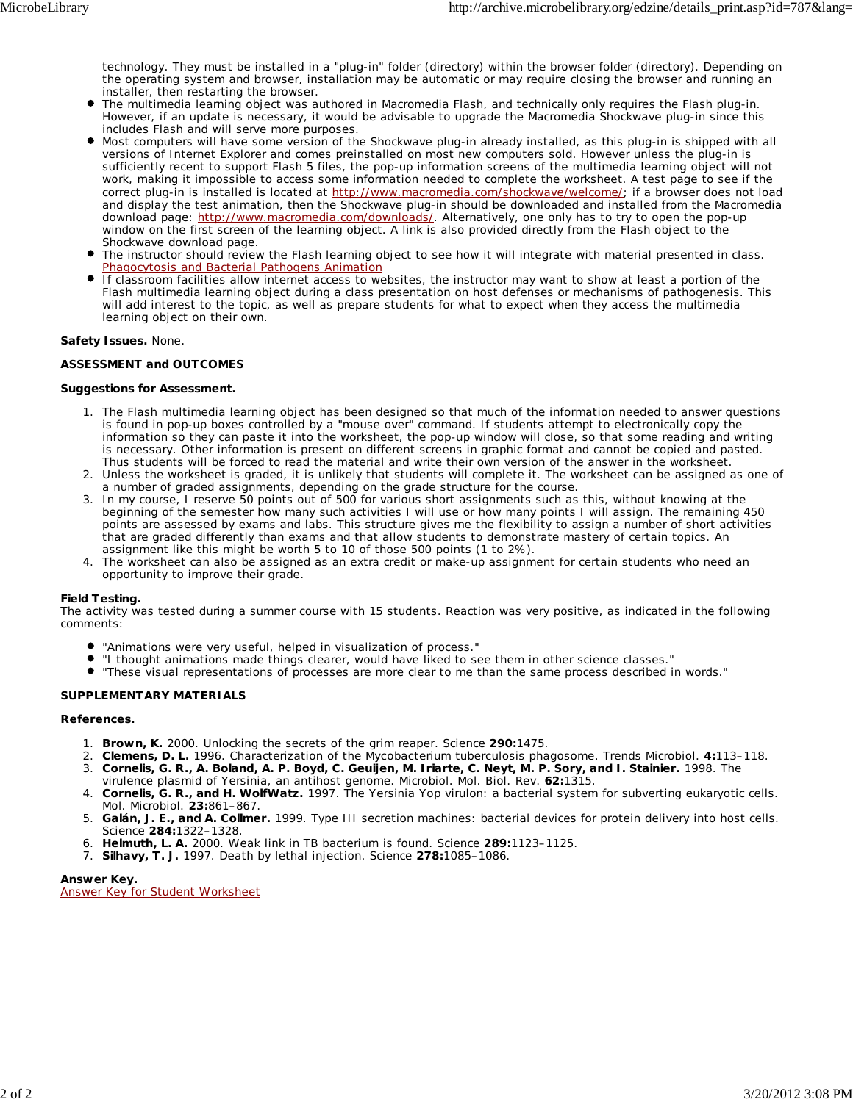technology. They must be installed in a "plug-in" folder (directory) within the browser folder (directory). Depending on the operating system and browser, installation may be automatic or may require closing the browser and running an installer, then restarting the browser.

- The multimedia learning object was authored in Macromedia Flash, and technically only requires the Flash plug-in. However, if an update is necessary, it would be advisable to upgrade the Macromedia Shockwave plug-in since this includes Flash and will serve more purposes.
- Most computers will have some version of the Shockwave plug-in already installed, as this plug-in is shipped with all versions of Internet Explorer and comes preinstalled on most new computers sold. However unless the plug-in is sufficiently recent to support Flash 5 files, the pop-up information screens of the multimedia learning object will not work, making it impossible to access some information needed to complete the worksheet. A test page to see if the correct plug-in is installed is located at http://www.macromedia.com/shockwave/welcome/; if a browser does not load and display the test animation, then the Shockwave plug-in should be downloaded and installed from the Macromedia download page: http://www.macromedia.com/downloads/. Alternatively, one only has to try to open the pop-up window on the first screen of the learning object. A link is also provided directly from the Flash object to the Shockwave download page.
- The instructor should review the Flash learning object to see how it will integrate with material presented in class. Phagocytosis and Bacterial Pathogens Animation
- If classroom facilities allow internet access to websites, the instructor may want to show at least a portion of the Flash multimedia learning object during a class presentation on host defenses or mechanisms of pathogenesis. This will add interest to the topic, as well as prepare students for what to expect when they access the multimedia learning object on their own.

#### **Safety Issues.** None.

#### **ASSESSMENT and OUTCOMES**

#### **Suggestions for Assessment.**

- The Flash multimedia learning object has been designed so that much of the information needed to answer questions is found in pop-up boxes controlled by a "mouse over" command. If students attempt to electronically copy the information so they can paste it into the worksheet, the pop-up window will close, so that some reading and writing is necessary. Other information is present on different screens in graphic format and cannot be copied and pasted. Thus students will be forced to read the material and write their own version of the answer in the worksheet. 1.
- 2. Unless the worksheet is graded, it is unlikely that students will complete it. The worksheet can be assigned as one of a number of graded assignments, depending on the grade structure for the course.
- In my course, I reserve 50 points out of 500 for various short assignments such as this, without knowing at the beginning of the semester how many such activities I will use or how many points I will assign. The remaining 450 points are assessed by exams and labs. This structure gives me the flexibility to assign a number of short activities that are graded differently than exams and that allow students to demonstrate mastery of certain topics. An assignment like this might be worth 5 to 10 of those 500 points (1 to 2%). 3.
- 4. The worksheet can also be assigned as an extra credit or make-up assignment for certain students who need an opportunity to improve their grade.

#### **Field Testing.**

The activity was tested during a summer course with 15 students. Reaction was very positive, as indicated in the following comments:

- "Animations were very useful, helped in visualization of process."
- "I thought animations made things clearer, would have liked to see them in other science classes."
- "These visual representations of processes are more clear to me than the same process described in words."

#### **SUPPLEMENTARY MATERIALS**

#### **References.**

- 1. **Brown, K.** 2000. Unlocking the secrets of the grim reaper. Science **290:**1475.
- 2. **Clemens, D. L.** 1996. Characterization of the *Mycobacterium tuberculosis* phagosome. Trends Microbiol. **4:**113–118.
- **Cornelis, G. R., A. Boland, A. P. Boyd, C. Geuijen, M. Iriarte, C. Neyt, M. P. Sory, and I. Stainier.** 1998. The 3.
- virulence plasmid of *Yersinia*, an antihost genome. Microbiol. Mol. Biol. Rev. **62:**1315.
- **Cornelis, G. R., and H. WolfWatz.** 1997. The *Yersinia* Yop virulon: a bacterial system for subverting eukaryotic cells. 4. Mol. Microbiol. **23:**861–867.
- **Galán, J. E., and A. Collmer.** 1999. Type III secretion machines: bacterial devices for protein delivery into host cells. 5. Science **284:**1322–1328.
- 6. **Helmuth, L. A.** 2000. Weak link in TB bacterium is found. Science **289:**1123–1125.
- 7. **Silhavy, T. J.** 1997. Death by lethal injection. Science **278:**1085–1086.

**Answer Key.** Answer Key for Student Worksheet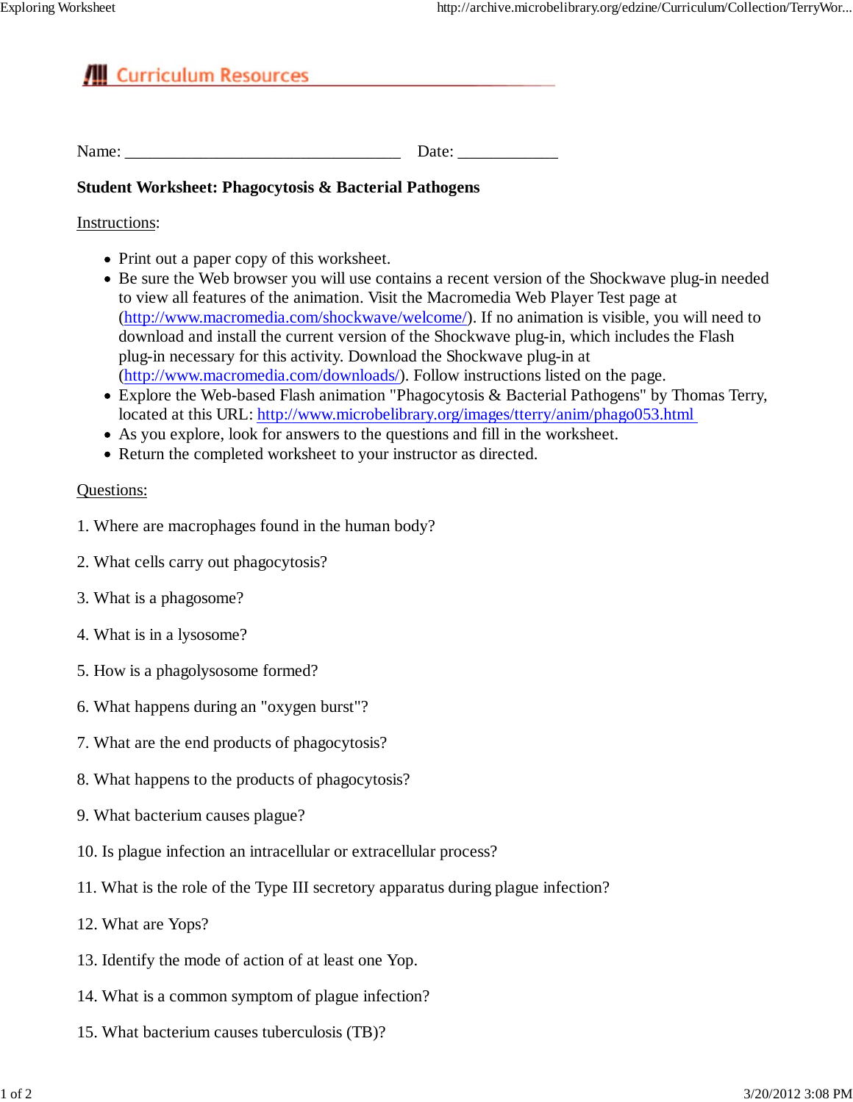# **All** Curriculum Resources

### **Student Worksheet: Phagocytosis & Bacterial Pathogens**

### Instructions:

- Print out a paper copy of this worksheet.
- Be sure the Web browser you will use contains a recent version of the Shockwave plug-in needed to view all features of the animation. Visit the Macromedia Web Player Test page at (http://www.macromedia.com/shockwave/welcome/). If no animation is visible, you will need to download and install the current version of the Shockwave plug-in, which includes the Flash plug-in necessary for this activity. Download the Shockwave plug-in at (http://www.macromedia.com/downloads/). Follow instructions listed on the page.
- Explore the Web-based Flash animation "Phagocytosis & Bacterial Pathogens" by Thomas Terry, located at this URL: http://www.microbelibrary.org/images/tterry/anim/phago053.html
- As you explore, look for answers to the questions and fill in the worksheet.
- Return the completed worksheet to your instructor as directed.

### Questions:

- 1. Where are macrophages found in the human body?
- 2. What cells carry out phagocytosis?
- 3. What is a phagosome?
- 4. What is in a lysosome?
- 5. How is a phagolysosome formed?
- 6. What happens during an "oxygen burst"?
- 7. What are the end products of phagocytosis?
- 8. What happens to the products of phagocytosis?
- 9. What bacterium causes plague?
- 10. Is plague infection an intracellular or extracellular process?
- 11. What is the role of the Type III secretory apparatus during plague infection?
- 12. What are Yops?
- 13. Identify the mode of action of at least one Yop.
- 14. What is a common symptom of plague infection?
- 15. What bacterium causes tuberculosis (TB)?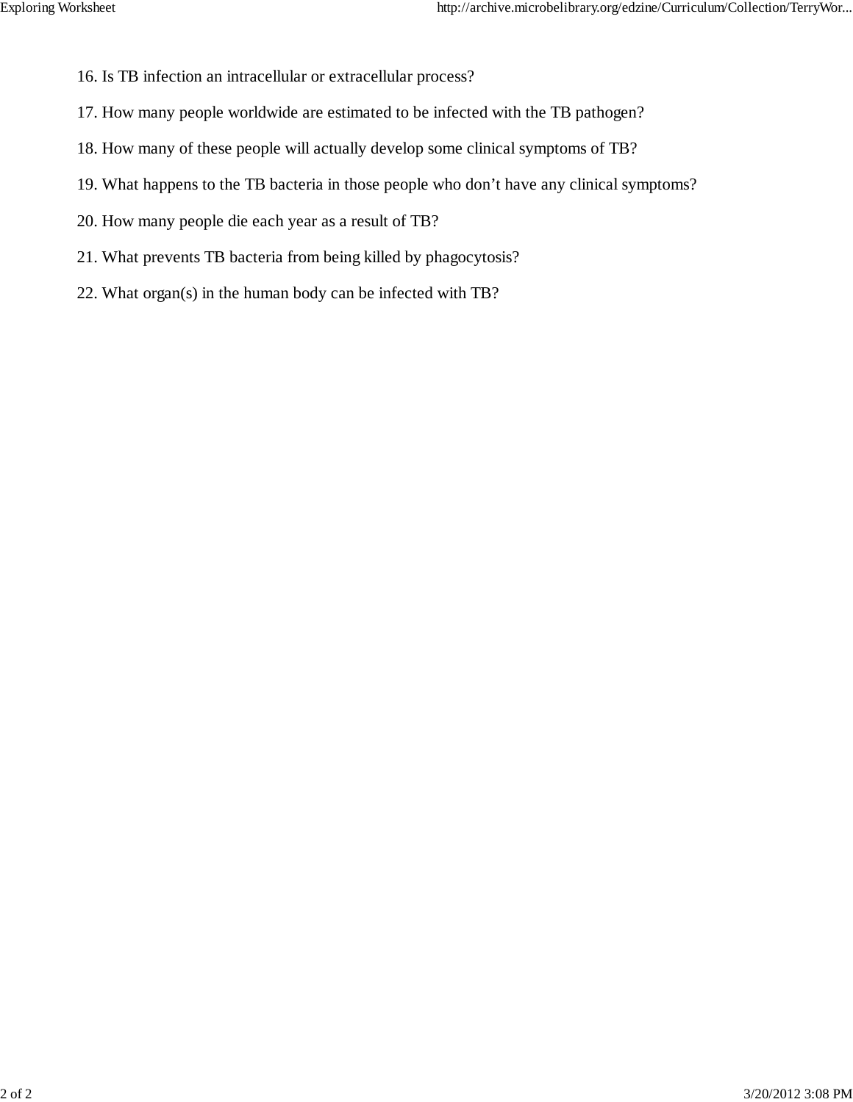- 16. Is TB infection an intracellular or extracellular process?
- 17. How many people worldwide are estimated to be infected with the TB pathogen?
- 18. How many of these people will actually develop some clinical symptoms of TB?
- 19. What happens to the TB bacteria in those people who don't have any clinical symptoms?
- 20. How many people die each year as a result of TB?
- 21. What prevents TB bacteria from being killed by phagocytosis?
- 22. What organ(s) in the human body can be infected with TB?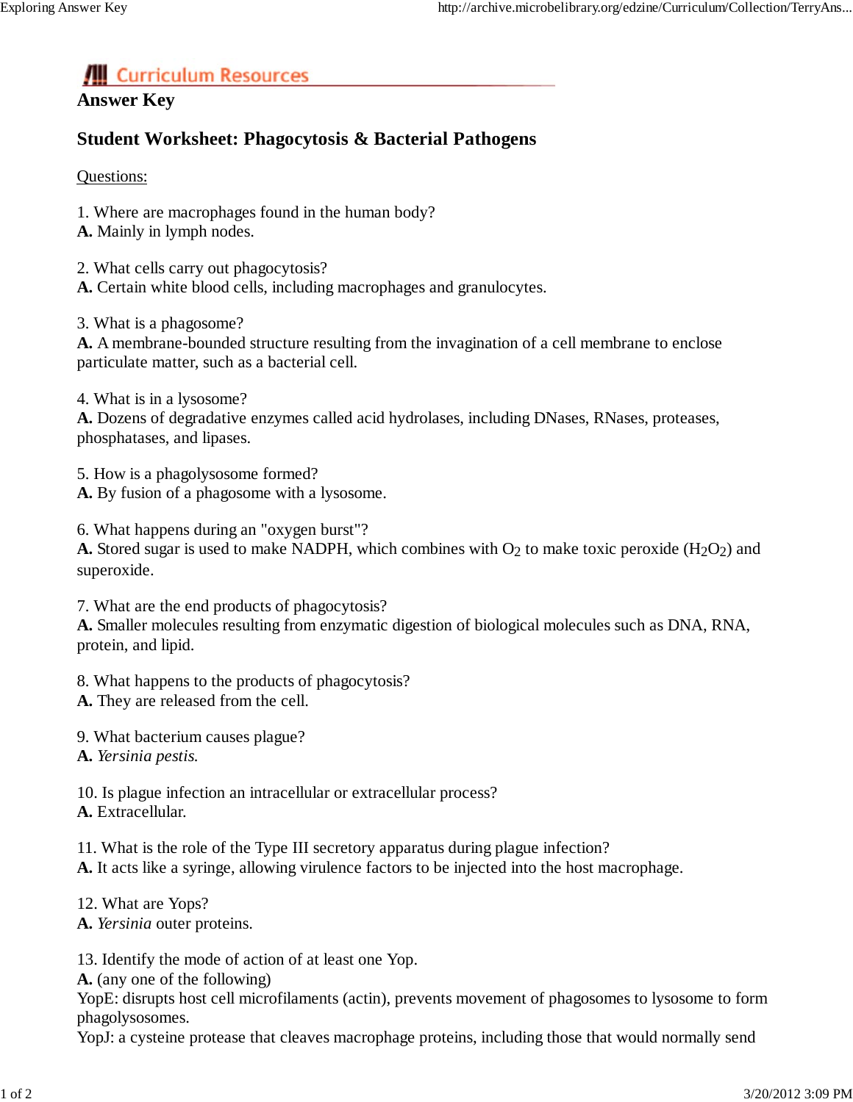# **All** Curriculum Resources

### **Answer Key**

# **Student Worksheet: Phagocytosis & Bacterial Pathogens**

Questions:

- 1. Where are macrophages found in the human body?
- **A.** Mainly in lymph nodes.
- 2. What cells carry out phagocytosis?
- **A.** Certain white blood cells, including macrophages and granulocytes.
- 3. What is a phagosome?

**A.** A membrane-bounded structure resulting from the invagination of a cell membrane to enclose particulate matter, such as a bacterial cell.

4. What is in a lysosome?

**A.** Dozens of degradative enzymes called acid hydrolases, including DNases, RNases, proteases, phosphatases, and lipases.

- 5. How is a phagolysosome formed? **A.** By fusion of a phagosome with a lysosome.
- 

6. What happens during an "oxygen burst"?

**A.** Stored sugar is used to make NADPH, which combines with  $O_2$  to make toxic peroxide (H<sub>2</sub>O<sub>2</sub>) and superoxide.

7. What are the end products of phagocytosis?

**A.** Smaller molecules resulting from enzymatic digestion of biological molecules such as DNA, RNA, protein, and lipid.

- 8. What happens to the products of phagocytosis?
- **A.** They are released from the cell.
- 9. What bacterium causes plague?
- **A.** *Yersinia pestis.*

10. Is plague infection an intracellular or extracellular process? **A.** Extracellular.

- 11. What is the role of the Type III secretory apparatus during plague infection?
- **A.** It acts like a syringe, allowing virulence factors to be injected into the host macrophage.
- 12. What are Yops?
- **A.** *Yersinia* outer proteins.

13. Identify the mode of action of at least one Yop.

**A.** (any one of the following)

YopE: disrupts host cell microfilaments (actin), prevents movement of phagosomes to lysosome to form phagolysosomes.

YopJ: a cysteine protease that cleaves macrophage proteins, including those that would normally send